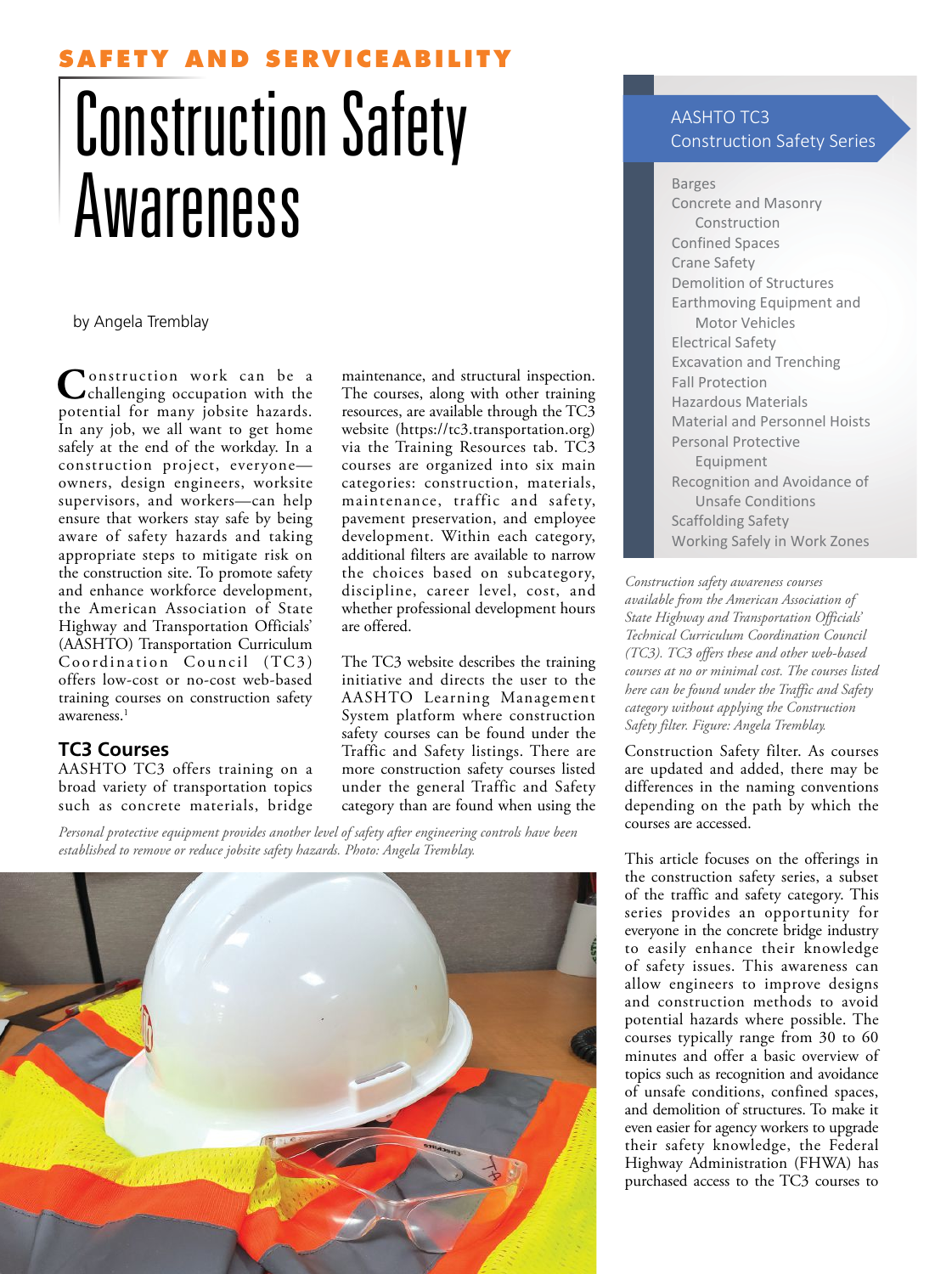# **SERVICEA**

# Construction Safety Awareness

#### by Angela Tremblay

**C** onstruction work can be a challenging occupation with the potential for many jobsite hazards. In any job, we all want to get home safely at the end of the workday. In a construction project, everyone owners, design engineers, worksite supervisors, and workers—can help ensure that workers stay safe by being aware of safety hazards and taking appropriate steps to mitigate risk on the construction site. To promote safety and enhance workforce development, the American Association of State Highway and Transportation Officials' (AASHTO) Transportation Curriculum Coordination Council (TC3) offers low-cost or no-cost web-based training courses on construction safety awareness.<sup>1</sup>

#### **TC3 Courses**

AASHTO TC3 offers training on a broad variety of transportation topics such as concrete materials, bridge

maintenance, and structural inspection. The courses, along with other training resources, are available through the TC3 website (https://tc3.transportation.org) via the Training Resources tab. TC3 courses are organized into six main categories: construction, materials, maintenance, traffic and safety, pavement preservation, and employee development. Within each category, additional filters are available to narrow the choices based on subcategory, discipline, career level, cost, and whether professional development hours are offered.

The TC3 website describes the training initiative and directs the user to the AASHTO Learning Management System platform where construction safety courses can be found under the Traffic and Safety listings. There are more construction safety courses listed under the general Traffic and Safety category than are found when using the

*Personal protective equipment provides another level of safety after engineering controls have been established to remove or reduce jobsite safety hazards. Photo: Angela Tremblay.*



## AASHTO TC3 Construction Safety Series

Barges Concrete and Masonry Construction Confined Spaces Crane Safety Demolition of Structures Earthmoving Equipment and Motor Vehicles Electrical Safety Excavation and Trenching Fall Protection Hazardous Materials Material and Personnel Hoists Personal Protective Equipment Recognition and Avoidance of Unsafe Conditions Scaffolding Safety Working Safely in Work Zones

*Construction safety awareness courses available from the American Association of State Highway and Transportation Officials' Technical Curriculum Coordination Council (TC3). TC3 offers these and other web-based courses at no or minimal cost. The courses listed here can be found under the Traffic and Safety category without applying the Construction Safety filter. Figure: Angela Tremblay.*

Construction Safety filter. As courses are updated and added, there may be differences in the naming conventions depending on the path by which the courses are accessed.

This article focuses on the offerings in the construction safety series, a subset of the traffic and safety category. This series provides an opportunity for everyone in the concrete bridge industry to easily enhance their knowledge of safety issues. This awareness can allow engineers to improve designs and construction methods to avoid potential hazards where possible. The courses typically range from 30 to 60 minutes and offer a basic overview of topics such as recognition and avoidance of unsafe conditions, confined spaces, and demolition of structures. To make it even easier for agency workers to upgrade their safety knowledge, the Federal Highway Administration (FHWA) has purchased access to the TC3 courses to